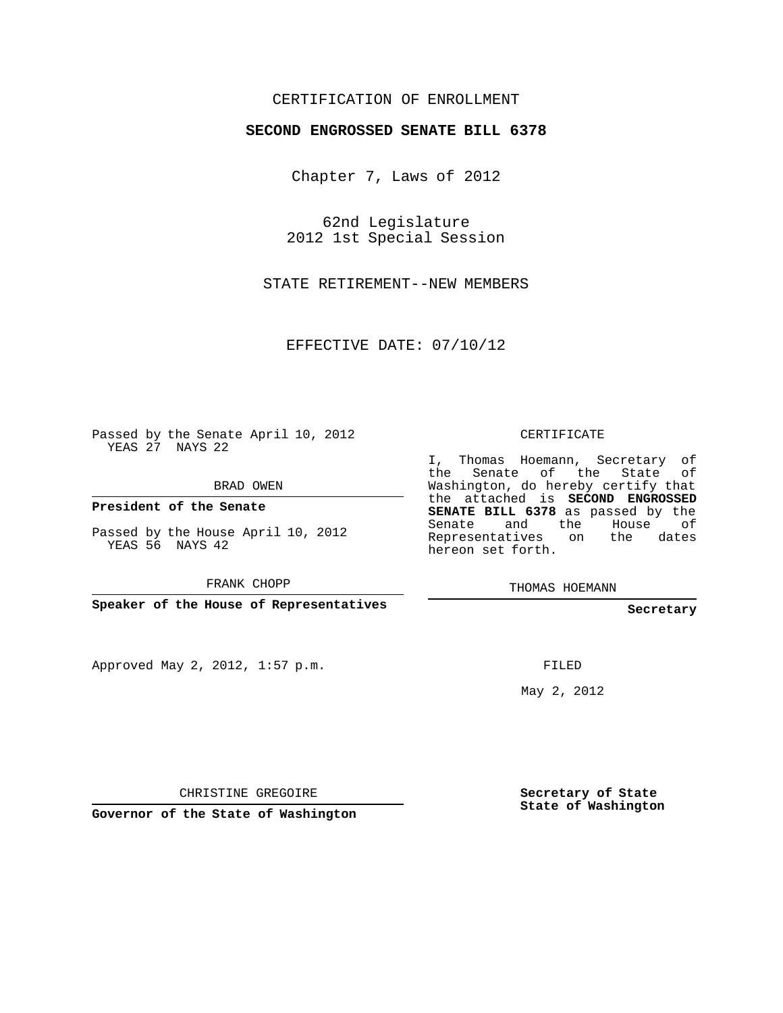## CERTIFICATION OF ENROLLMENT

## **SECOND ENGROSSED SENATE BILL 6378**

Chapter 7, Laws of 2012

62nd Legislature 2012 1st Special Session

STATE RETIREMENT--NEW MEMBERS

EFFECTIVE DATE: 07/10/12

Passed by the Senate April 10, 2012 YEAS 27 NAYS 22

BRAD OWEN

**President of the Senate**

Passed by the House April 10, 2012 YEAS 56 NAYS 42

FRANK CHOPP

**Speaker of the House of Representatives**

Approved May 2, 2012, 1:57 p.m.

CERTIFICATE

I, Thomas Hoemann, Secretary of the Senate of the State of Washington, do hereby certify that the attached is **SECOND ENGROSSED SENATE BILL 6378** as passed by the Senate and the House of Representatives on the dates hereon set forth.

THOMAS HOEMANN

**Secretary**

FILED

May 2, 2012

CHRISTINE GREGOIRE

**Governor of the State of Washington**

**Secretary of State State of Washington**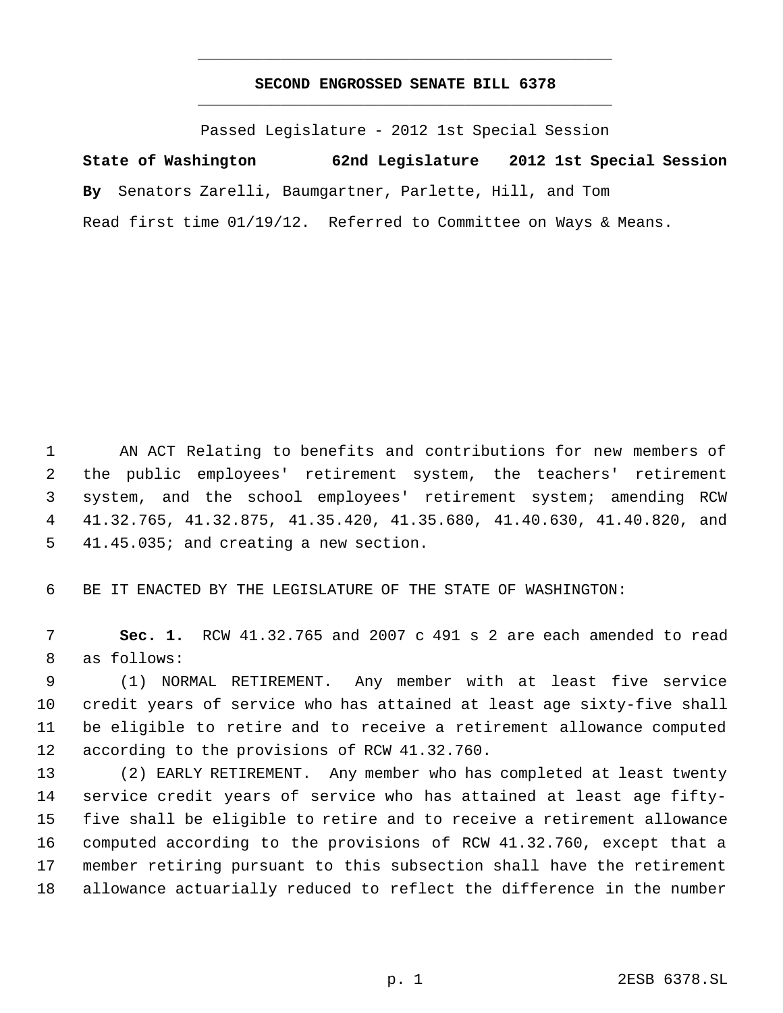## **SECOND ENGROSSED SENATE BILL 6378** \_\_\_\_\_\_\_\_\_\_\_\_\_\_\_\_\_\_\_\_\_\_\_\_\_\_\_\_\_\_\_\_\_\_\_\_\_\_\_\_\_\_\_\_\_

\_\_\_\_\_\_\_\_\_\_\_\_\_\_\_\_\_\_\_\_\_\_\_\_\_\_\_\_\_\_\_\_\_\_\_\_\_\_\_\_\_\_\_\_\_

Passed Legislature - 2012 1st Special Session

**State of Washington 62nd Legislature 2012 1st Special Session By** Senators Zarelli, Baumgartner, Parlette, Hill, and Tom Read first time 01/19/12. Referred to Committee on Ways & Means.

 AN ACT Relating to benefits and contributions for new members of the public employees' retirement system, the teachers' retirement system, and the school employees' retirement system; amending RCW 41.32.765, 41.32.875, 41.35.420, 41.35.680, 41.40.630, 41.40.820, and 41.45.035; and creating a new section.

BE IT ENACTED BY THE LEGISLATURE OF THE STATE OF WASHINGTON:

 **Sec. 1.** RCW 41.32.765 and 2007 c 491 s 2 are each amended to read as follows:

 (1) NORMAL RETIREMENT. Any member with at least five service credit years of service who has attained at least age sixty-five shall be eligible to retire and to receive a retirement allowance computed according to the provisions of RCW 41.32.760.

 (2) EARLY RETIREMENT. Any member who has completed at least twenty service credit years of service who has attained at least age fifty- five shall be eligible to retire and to receive a retirement allowance computed according to the provisions of RCW 41.32.760, except that a member retiring pursuant to this subsection shall have the retirement allowance actuarially reduced to reflect the difference in the number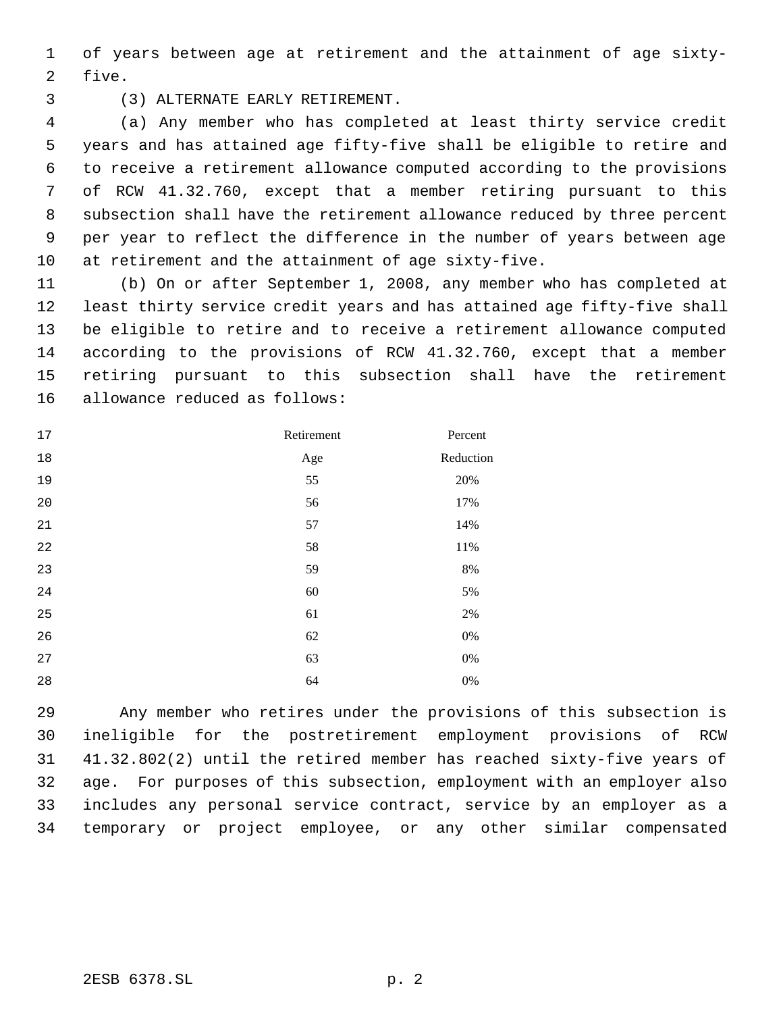of years between age at retirement and the attainment of age sixty- five.

(3) ALTERNATE EARLY RETIREMENT.

 (a) Any member who has completed at least thirty service credit years and has attained age fifty-five shall be eligible to retire and to receive a retirement allowance computed according to the provisions of RCW 41.32.760, except that a member retiring pursuant to this subsection shall have the retirement allowance reduced by three percent per year to reflect the difference in the number of years between age at retirement and the attainment of age sixty-five.

 (b) On or after September 1, 2008, any member who has completed at least thirty service credit years and has attained age fifty-five shall be eligible to retire and to receive a retirement allowance computed according to the provisions of RCW 41.32.760, except that a member retiring pursuant to this subsection shall have the retirement allowance reduced as follows:

| 17 | Retirement | Percent   |
|----|------------|-----------|
| 18 | Age        | Reduction |
| 19 | 55         | 20%       |
| 20 | 56         | 17%       |
| 21 | 57         | 14%       |
| 22 | 58         | 11%       |
| 23 | 59         | $8\%$     |
| 24 | 60         | 5%        |
| 25 | 61         | 2%        |
| 26 | 62         | $0\%$     |
| 27 | 63         | $0\%$     |
| 28 | 64         | $0\%$     |

 Any member who retires under the provisions of this subsection is ineligible for the postretirement employment provisions of RCW 41.32.802(2) until the retired member has reached sixty-five years of age. For purposes of this subsection, employment with an employer also includes any personal service contract, service by an employer as a temporary or project employee, or any other similar compensated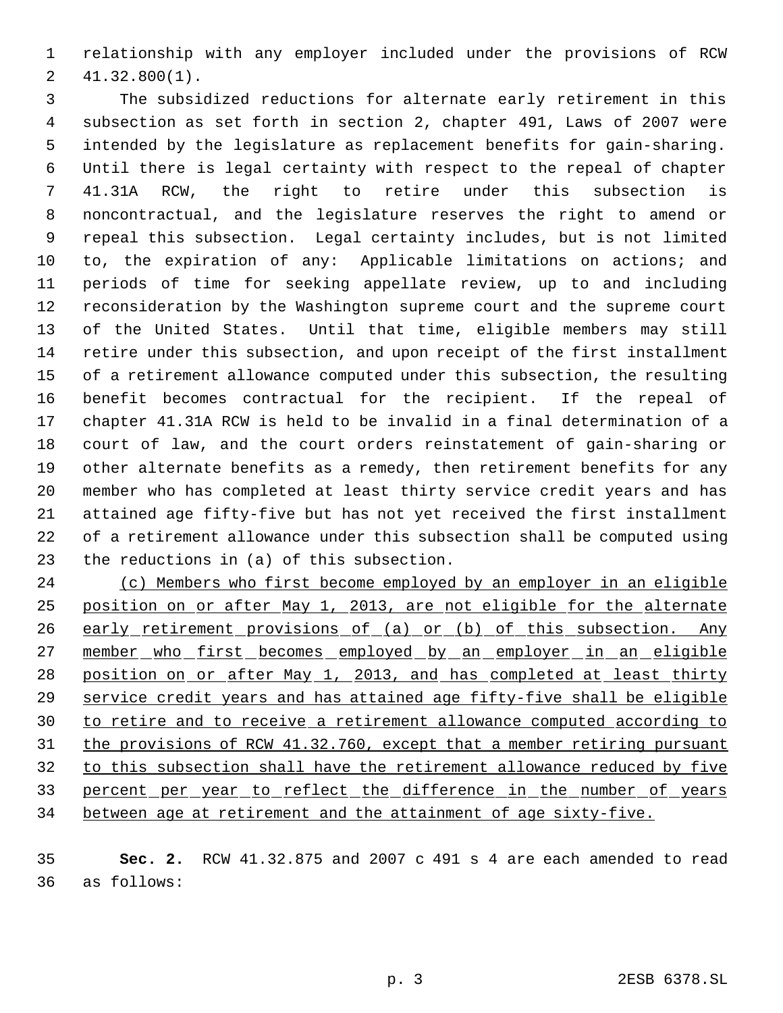relationship with any employer included under the provisions of RCW 41.32.800(1).

 The subsidized reductions for alternate early retirement in this subsection as set forth in section 2, chapter 491, Laws of 2007 were intended by the legislature as replacement benefits for gain-sharing. Until there is legal certainty with respect to the repeal of chapter 41.31A RCW, the right to retire under this subsection is noncontractual, and the legislature reserves the right to amend or repeal this subsection. Legal certainty includes, but is not limited to, the expiration of any: Applicable limitations on actions; and periods of time for seeking appellate review, up to and including reconsideration by the Washington supreme court and the supreme court of the United States. Until that time, eligible members may still retire under this subsection, and upon receipt of the first installment of a retirement allowance computed under this subsection, the resulting benefit becomes contractual for the recipient. If the repeal of chapter 41.31A RCW is held to be invalid in a final determination of a court of law, and the court orders reinstatement of gain-sharing or other alternate benefits as a remedy, then retirement benefits for any member who has completed at least thirty service credit years and has attained age fifty-five but has not yet received the first installment of a retirement allowance under this subsection shall be computed using the reductions in (a) of this subsection.

 (c) Members who first become employed by an employer in an eligible position on or after May 1, 2013, are not eligible for the alternate 26 early retirement provisions of (a) or (b) of this subsection. Any 27 member who first becomes employed by an employer in an eligible position on or after May 1, 2013, and has completed at least thirty service credit years and has attained age fifty-five shall be eligible to retire and to receive a retirement allowance computed according to 31 the provisions of RCW 41.32.760, except that a member retiring pursuant to this subsection shall have the retirement allowance reduced by five 33 percent per year to reflect the difference in the number of years between age at retirement and the attainment of age sixty-five.

 **Sec. 2.** RCW 41.32.875 and 2007 c 491 s 4 are each amended to read as follows: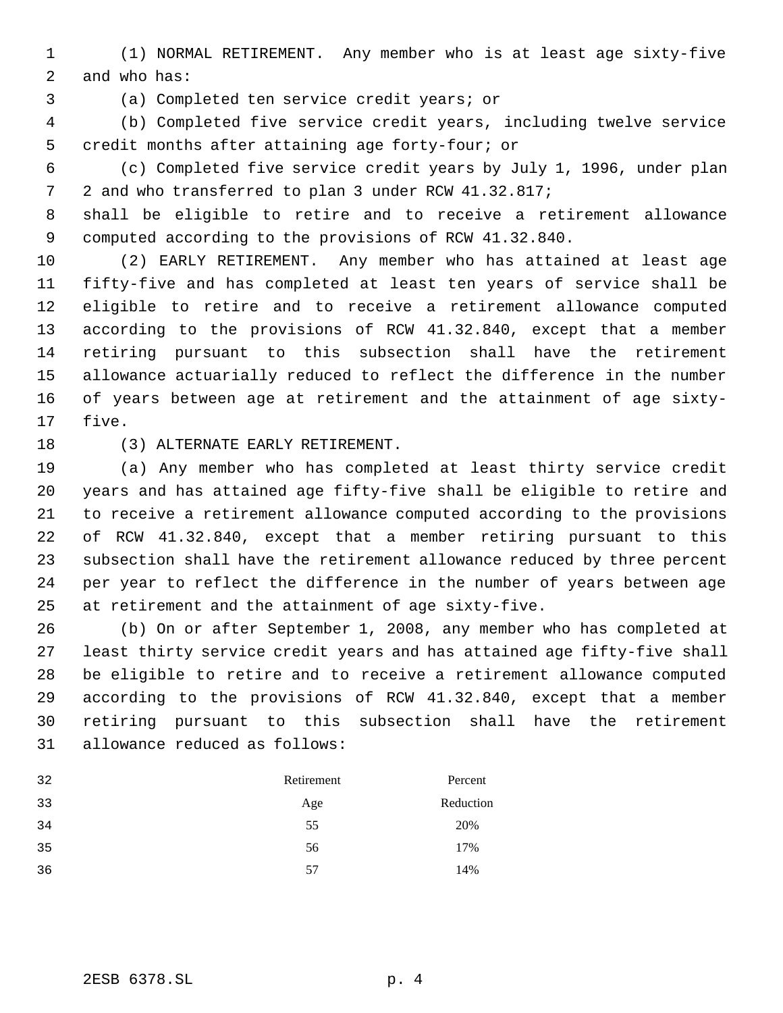(1) NORMAL RETIREMENT. Any member who is at least age sixty-five and who has:

(a) Completed ten service credit years; or

 (b) Completed five service credit years, including twelve service credit months after attaining age forty-four; or

 (c) Completed five service credit years by July 1, 1996, under plan 2 and who transferred to plan 3 under RCW 41.32.817;

 shall be eligible to retire and to receive a retirement allowance computed according to the provisions of RCW 41.32.840.

 (2) EARLY RETIREMENT. Any member who has attained at least age fifty-five and has completed at least ten years of service shall be eligible to retire and to receive a retirement allowance computed according to the provisions of RCW 41.32.840, except that a member retiring pursuant to this subsection shall have the retirement allowance actuarially reduced to reflect the difference in the number of years between age at retirement and the attainment of age sixty-five.

(3) ALTERNATE EARLY RETIREMENT.

 (a) Any member who has completed at least thirty service credit years and has attained age fifty-five shall be eligible to retire and to receive a retirement allowance computed according to the provisions of RCW 41.32.840, except that a member retiring pursuant to this subsection shall have the retirement allowance reduced by three percent per year to reflect the difference in the number of years between age at retirement and the attainment of age sixty-five.

 (b) On or after September 1, 2008, any member who has completed at least thirty service credit years and has attained age fifty-five shall be eligible to retire and to receive a retirement allowance computed according to the provisions of RCW 41.32.840, except that a member retiring pursuant to this subsection shall have the retirement allowance reduced as follows:

| 32 | Retirement | Percent   |
|----|------------|-----------|
| 33 | Age        | Reduction |
| 34 | 55         | 20%       |
| 35 | 56         | 17%       |
| 36 | 57         | 14%       |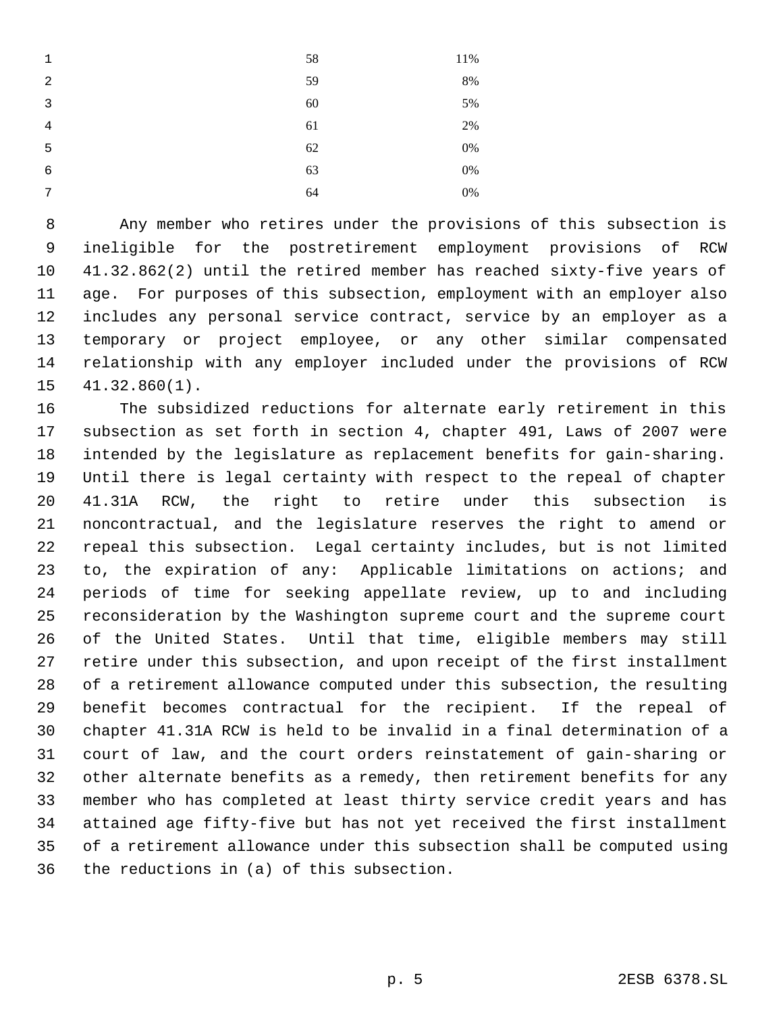| 1 | 58 | 11%   |
|---|----|-------|
| 2 | 59 | $8\%$ |
| 3 | 60 | 5%    |
| 4 | 61 | 2%    |
| 5 | 62 | $0\%$ |
| 6 | 63 | $0\%$ |
| 7 | 64 | $0\%$ |

 Any member who retires under the provisions of this subsection is ineligible for the postretirement employment provisions of RCW 41.32.862(2) until the retired member has reached sixty-five years of age. For purposes of this subsection, employment with an employer also includes any personal service contract, service by an employer as a temporary or project employee, or any other similar compensated relationship with any employer included under the provisions of RCW 41.32.860(1).

 The subsidized reductions for alternate early retirement in this subsection as set forth in section 4, chapter 491, Laws of 2007 were intended by the legislature as replacement benefits for gain-sharing. Until there is legal certainty with respect to the repeal of chapter 41.31A RCW, the right to retire under this subsection is noncontractual, and the legislature reserves the right to amend or repeal this subsection. Legal certainty includes, but is not limited to, the expiration of any: Applicable limitations on actions; and periods of time for seeking appellate review, up to and including reconsideration by the Washington supreme court and the supreme court of the United States. Until that time, eligible members may still retire under this subsection, and upon receipt of the first installment of a retirement allowance computed under this subsection, the resulting benefit becomes contractual for the recipient. If the repeal of chapter 41.31A RCW is held to be invalid in a final determination of a court of law, and the court orders reinstatement of gain-sharing or other alternate benefits as a remedy, then retirement benefits for any member who has completed at least thirty service credit years and has attained age fifty-five but has not yet received the first installment of a retirement allowance under this subsection shall be computed using the reductions in (a) of this subsection.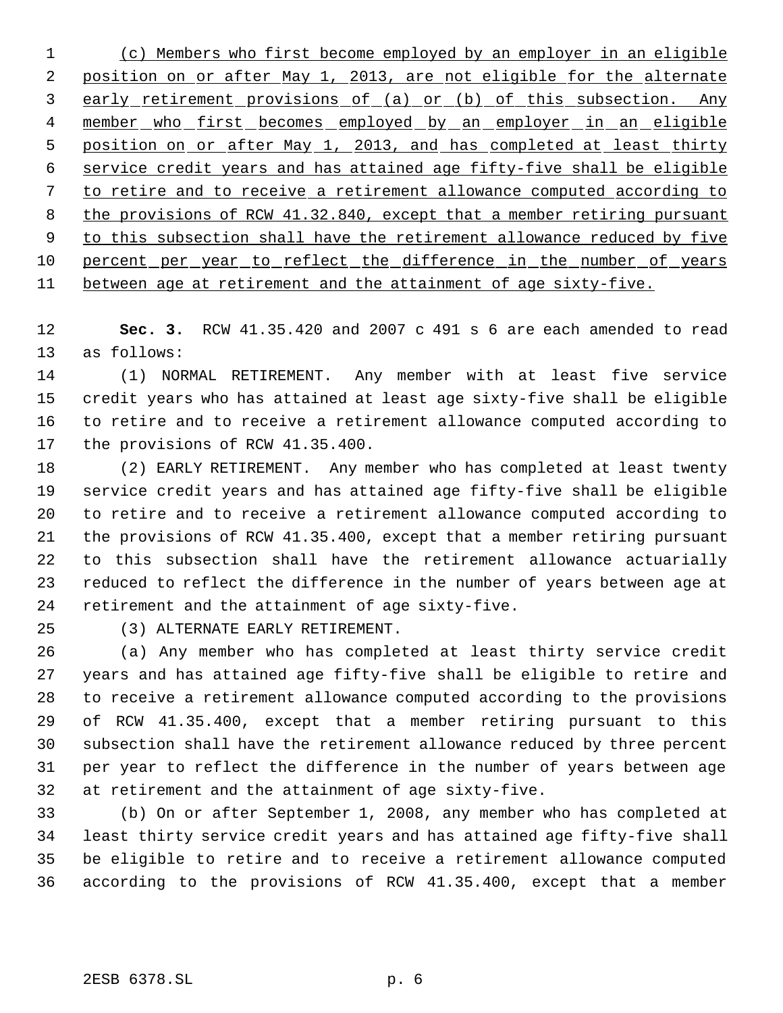(c) Members who first become employed by an employer in an eligible 2 position on or after May 1, 2013, are not eligible for the alternate early retirement provisions of (a) or (b) of this subsection. Any 4 member who first becomes employed by an employer in an eligible position on or after May 1, 2013, and has completed at least thirty service credit years and has attained age fifty-five shall be eligible to retire and to receive a retirement allowance computed according to 8 the provisions of RCW 41.32.840, except that a member retiring pursuant 9 to this subsection shall have the retirement allowance reduced by five 10 percent per year to reflect the difference in the number of years 11 between age at retirement and the attainment of age sixty-five.

 **Sec. 3.** RCW 41.35.420 and 2007 c 491 s 6 are each amended to read as follows:

 (1) NORMAL RETIREMENT. Any member with at least five service credit years who has attained at least age sixty-five shall be eligible to retire and to receive a retirement allowance computed according to the provisions of RCW 41.35.400.

 (2) EARLY RETIREMENT. Any member who has completed at least twenty service credit years and has attained age fifty-five shall be eligible to retire and to receive a retirement allowance computed according to the provisions of RCW 41.35.400, except that a member retiring pursuant to this subsection shall have the retirement allowance actuarially reduced to reflect the difference in the number of years between age at retirement and the attainment of age sixty-five.

(3) ALTERNATE EARLY RETIREMENT.

 (a) Any member who has completed at least thirty service credit years and has attained age fifty-five shall be eligible to retire and to receive a retirement allowance computed according to the provisions of RCW 41.35.400, except that a member retiring pursuant to this subsection shall have the retirement allowance reduced by three percent per year to reflect the difference in the number of years between age at retirement and the attainment of age sixty-five.

 (b) On or after September 1, 2008, any member who has completed at least thirty service credit years and has attained age fifty-five shall be eligible to retire and to receive a retirement allowance computed according to the provisions of RCW 41.35.400, except that a member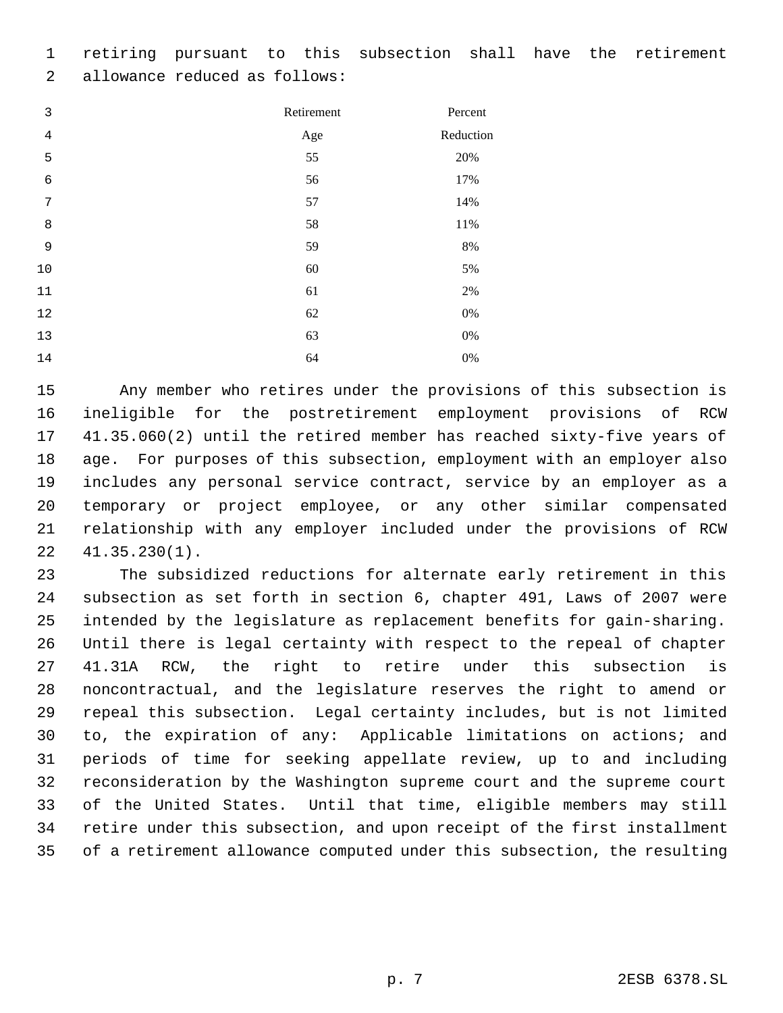retiring pursuant to this subsection shall have the retirement

allowance reduced as follows:

| 3           | Retirement | Percent   |
|-------------|------------|-----------|
| $\bf 4$     | Age        | Reduction |
| 5           | 55         | 20%       |
| $\epsilon$  | 56         | 17%       |
| 7           | 57         | 14%       |
| 8           | 58         | 11%       |
| $\mathsf 9$ | 59         | $8\%$     |
| $10$        | 60         | 5%        |
| $11\,$      | 61         | 2%        |
| 12          | 62         | $0\%$     |
| 13          | 63         | $0\%$     |
| 14          | 64         | $0\%$     |

 Any member who retires under the provisions of this subsection is ineligible for the postretirement employment provisions of RCW 41.35.060(2) until the retired member has reached sixty-five years of age. For purposes of this subsection, employment with an employer also includes any personal service contract, service by an employer as a temporary or project employee, or any other similar compensated relationship with any employer included under the provisions of RCW 41.35.230(1).

 The subsidized reductions for alternate early retirement in this subsection as set forth in section 6, chapter 491, Laws of 2007 were intended by the legislature as replacement benefits for gain-sharing. Until there is legal certainty with respect to the repeal of chapter 41.31A RCW, the right to retire under this subsection is noncontractual, and the legislature reserves the right to amend or repeal this subsection. Legal certainty includes, but is not limited to, the expiration of any: Applicable limitations on actions; and periods of time for seeking appellate review, up to and including reconsideration by the Washington supreme court and the supreme court of the United States. Until that time, eligible members may still retire under this subsection, and upon receipt of the first installment of a retirement allowance computed under this subsection, the resulting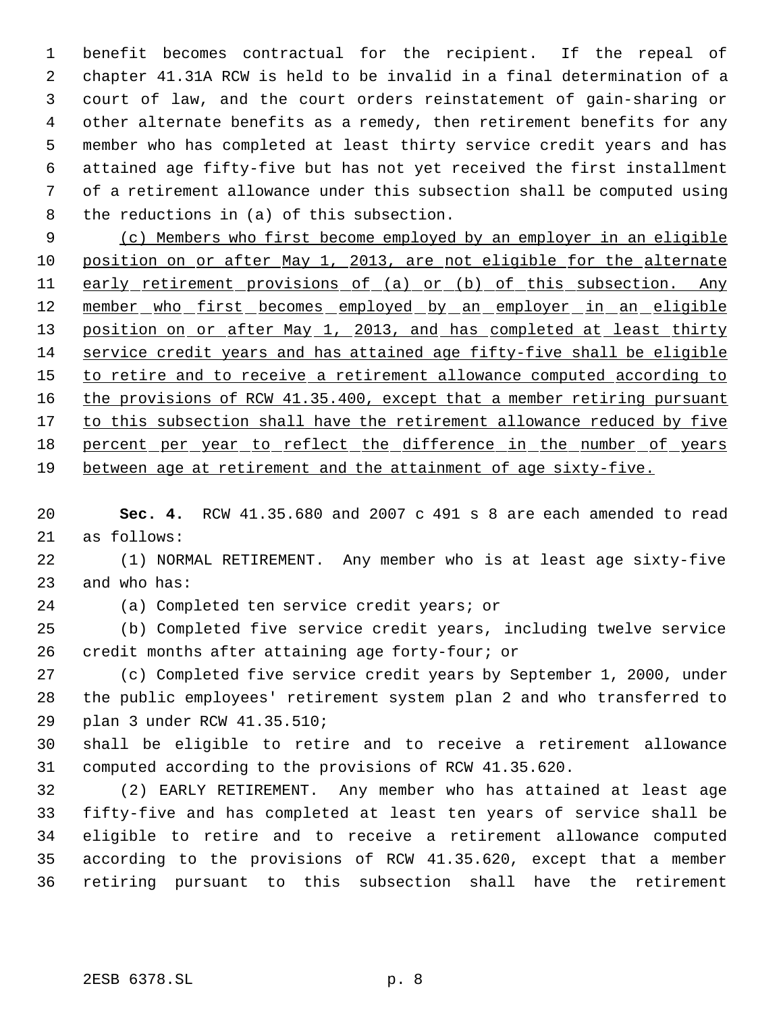benefit becomes contractual for the recipient. If the repeal of chapter 41.31A RCW is held to be invalid in a final determination of a court of law, and the court orders reinstatement of gain-sharing or other alternate benefits as a remedy, then retirement benefits for any member who has completed at least thirty service credit years and has attained age fifty-five but has not yet received the first installment of a retirement allowance under this subsection shall be computed using the reductions in (a) of this subsection.

 (c) Members who first become employed by an employer in an eligible 10 position on or after May 1, 2013, are not eligible for the alternate 11 early retirement provisions of (a) or (b) of this subsection. Any 12 member who first becomes employed by an employer in an eligible 13 position on or after May 1, 2013, and has completed at least thirty service credit years and has attained age fifty-five shall be eligible 15 to retire and to receive a retirement allowance computed according to 16 the provisions of RCW 41.35.400, except that a member retiring pursuant 17 to this subsection shall have the retirement allowance reduced by five percent per year to reflect the difference in the number of years between age at retirement and the attainment of age sixty-five.

 **Sec. 4.** RCW 41.35.680 and 2007 c 491 s 8 are each amended to read as follows:

 (1) NORMAL RETIREMENT. Any member who is at least age sixty-five and who has:

(a) Completed ten service credit years; or

 (b) Completed five service credit years, including twelve service credit months after attaining age forty-four; or

 (c) Completed five service credit years by September 1, 2000, under the public employees' retirement system plan 2 and who transferred to plan 3 under RCW 41.35.510;

 shall be eligible to retire and to receive a retirement allowance computed according to the provisions of RCW 41.35.620.

 (2) EARLY RETIREMENT. Any member who has attained at least age fifty-five and has completed at least ten years of service shall be eligible to retire and to receive a retirement allowance computed according to the provisions of RCW 41.35.620, except that a member retiring pursuant to this subsection shall have the retirement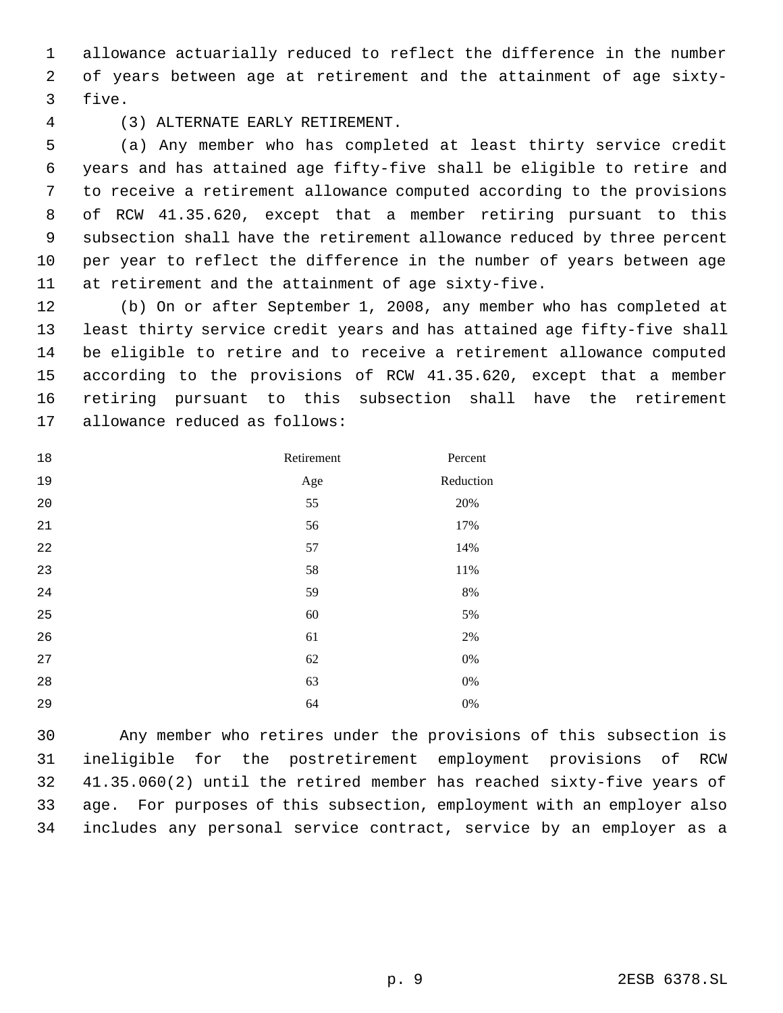allowance actuarially reduced to reflect the difference in the number of years between age at retirement and the attainment of age sixty- five.

(3) ALTERNATE EARLY RETIREMENT.

 (a) Any member who has completed at least thirty service credit years and has attained age fifty-five shall be eligible to retire and to receive a retirement allowance computed according to the provisions of RCW 41.35.620, except that a member retiring pursuant to this subsection shall have the retirement allowance reduced by three percent per year to reflect the difference in the number of years between age at retirement and the attainment of age sixty-five.

 (b) On or after September 1, 2008, any member who has completed at least thirty service credit years and has attained age fifty-five shall be eligible to retire and to receive a retirement allowance computed according to the provisions of RCW 41.35.620, except that a member retiring pursuant to this subsection shall have the retirement allowance reduced as follows:

| 18 | Retirement | Percent   |
|----|------------|-----------|
| 19 | Age        | Reduction |
| 20 | 55         | 20%       |
| 21 | 56         | 17%       |
| 22 | 57         | 14%       |
| 23 | 58         | 11%       |
| 24 | 59         | $8\%$     |
| 25 | 60         | 5%        |
| 26 | 61         | 2%        |
| 27 | 62         | 0%        |
| 28 | 63         | 0%        |
| 29 | 64         | 0%        |

 Any member who retires under the provisions of this subsection is ineligible for the postretirement employment provisions of RCW 41.35.060(2) until the retired member has reached sixty-five years of age. For purposes of this subsection, employment with an employer also includes any personal service contract, service by an employer as a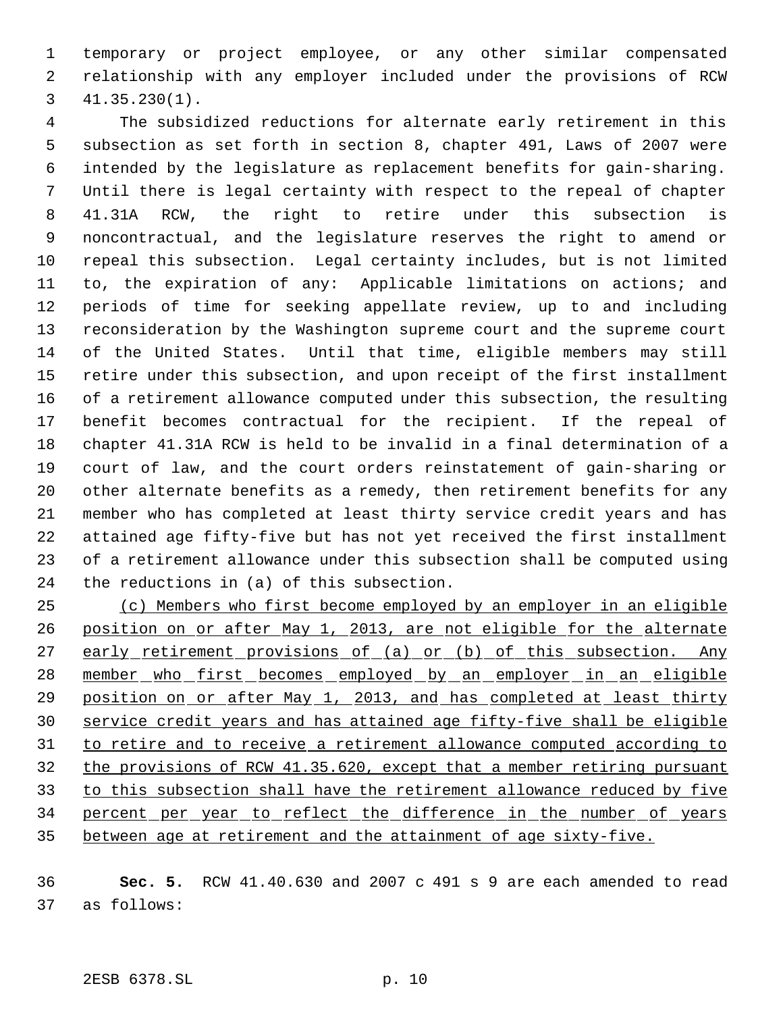temporary or project employee, or any other similar compensated relationship with any employer included under the provisions of RCW 41.35.230(1).

 The subsidized reductions for alternate early retirement in this subsection as set forth in section 8, chapter 491, Laws of 2007 were intended by the legislature as replacement benefits for gain-sharing. Until there is legal certainty with respect to the repeal of chapter 41.31A RCW, the right to retire under this subsection is noncontractual, and the legislature reserves the right to amend or repeal this subsection. Legal certainty includes, but is not limited to, the expiration of any: Applicable limitations on actions; and periods of time for seeking appellate review, up to and including reconsideration by the Washington supreme court and the supreme court of the United States. Until that time, eligible members may still retire under this subsection, and upon receipt of the first installment of a retirement allowance computed under this subsection, the resulting benefit becomes contractual for the recipient. If the repeal of chapter 41.31A RCW is held to be invalid in a final determination of a court of law, and the court orders reinstatement of gain-sharing or other alternate benefits as a remedy, then retirement benefits for any member who has completed at least thirty service credit years and has attained age fifty-five but has not yet received the first installment of a retirement allowance under this subsection shall be computed using the reductions in (a) of this subsection.

 (c) Members who first become employed by an employer in an eligible position on or after May 1, 2013, are not eligible for the alternate 27 early retirement provisions of (a) or (b) of this subsection. Any 28 member who first becomes employed by an employer in an eligible 29 position on or after May 1, 2013, and has completed at least thirty service credit years and has attained age fifty-five shall be eligible 31 to retire and to receive a retirement allowance computed according to the provisions of RCW 41.35.620, except that a member retiring pursuant to this subsection shall have the retirement allowance reduced by five percent per year to reflect the difference in the number of years between age at retirement and the attainment of age sixty-five.

 **Sec. 5.** RCW 41.40.630 and 2007 c 491 s 9 are each amended to read as follows: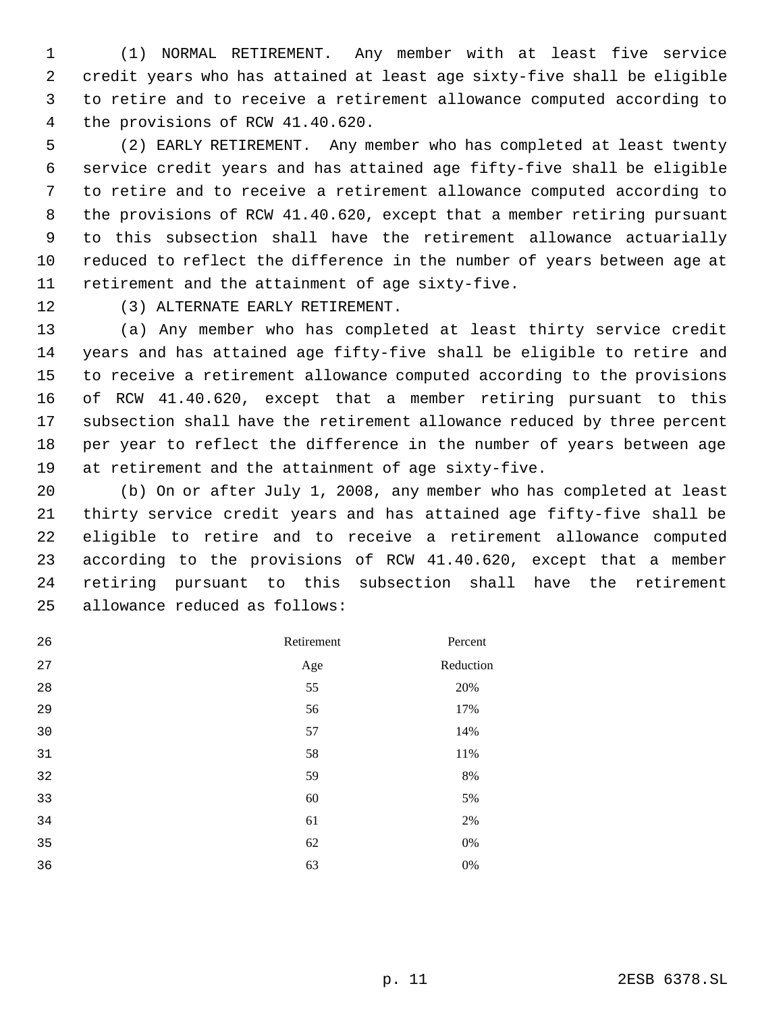(1) NORMAL RETIREMENT. Any member with at least five service credit years who has attained at least age sixty-five shall be eligible to retire and to receive a retirement allowance computed according to the provisions of RCW 41.40.620.

 (2) EARLY RETIREMENT. Any member who has completed at least twenty service credit years and has attained age fifty-five shall be eligible to retire and to receive a retirement allowance computed according to the provisions of RCW 41.40.620, except that a member retiring pursuant to this subsection shall have the retirement allowance actuarially reduced to reflect the difference in the number of years between age at retirement and the attainment of age sixty-five.

(3) ALTERNATE EARLY RETIREMENT.

 (a) Any member who has completed at least thirty service credit years and has attained age fifty-five shall be eligible to retire and to receive a retirement allowance computed according to the provisions of RCW 41.40.620, except that a member retiring pursuant to this subsection shall have the retirement allowance reduced by three percent per year to reflect the difference in the number of years between age at retirement and the attainment of age sixty-five.

 (b) On or after July 1, 2008, any member who has completed at least thirty service credit years and has attained age fifty-five shall be eligible to retire and to receive a retirement allowance computed according to the provisions of RCW 41.40.620, except that a member retiring pursuant to this subsection shall have the retirement allowance reduced as follows:

| 26 | Retirement | Percent   |
|----|------------|-----------|
| 27 | Age        | Reduction |
| 28 | 55         | 20%       |
| 29 | 56         | 17%       |
| 30 | 57         | 14%       |
| 31 | 58         | 11%       |
| 32 | 59         | $8\%$     |
| 33 | 60         | 5%        |
| 34 | 61         | 2%        |
| 35 | 62         | $0\%$     |
| 36 | 63         | 0%        |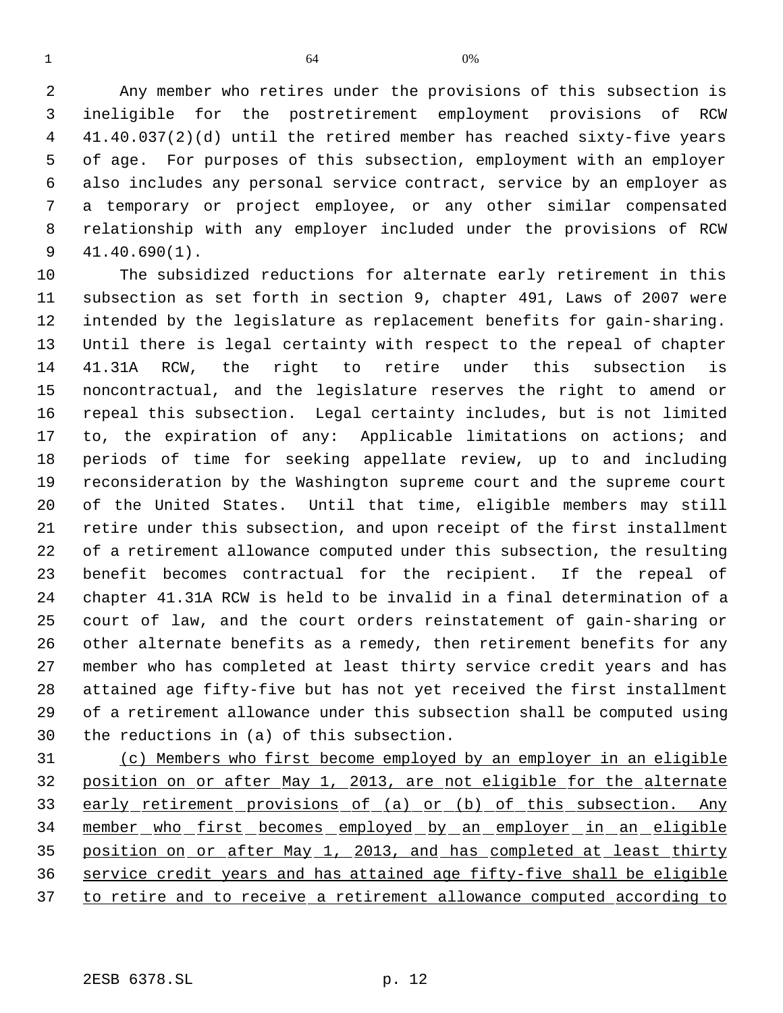1 0%

 Any member who retires under the provisions of this subsection is ineligible for the postretirement employment provisions of RCW 41.40.037(2)(d) until the retired member has reached sixty-five years of age. For purposes of this subsection, employment with an employer also includes any personal service contract, service by an employer as a temporary or project employee, or any other similar compensated relationship with any employer included under the provisions of RCW 41.40.690(1).

 The subsidized reductions for alternate early retirement in this subsection as set forth in section 9, chapter 491, Laws of 2007 were intended by the legislature as replacement benefits for gain-sharing. Until there is legal certainty with respect to the repeal of chapter 41.31A RCW, the right to retire under this subsection is noncontractual, and the legislature reserves the right to amend or repeal this subsection. Legal certainty includes, but is not limited to, the expiration of any: Applicable limitations on actions; and periods of time for seeking appellate review, up to and including reconsideration by the Washington supreme court and the supreme court of the United States. Until that time, eligible members may still retire under this subsection, and upon receipt of the first installment of a retirement allowance computed under this subsection, the resulting benefit becomes contractual for the recipient. If the repeal of chapter 41.31A RCW is held to be invalid in a final determination of a court of law, and the court orders reinstatement of gain-sharing or other alternate benefits as a remedy, then retirement benefits for any member who has completed at least thirty service credit years and has attained age fifty-five but has not yet received the first installment of a retirement allowance under this subsection shall be computed using the reductions in (a) of this subsection.

 (c) Members who first become employed by an employer in an eligible position on or after May 1, 2013, are not eligible for the alternate early retirement provisions of (a) or (b) of this subsection. Any member who first becomes employed by an employer in an eligible position on or after May 1, 2013, and has completed at least thirty service credit years and has attained age fifty-five shall be eligible to retire and to receive a retirement allowance computed according to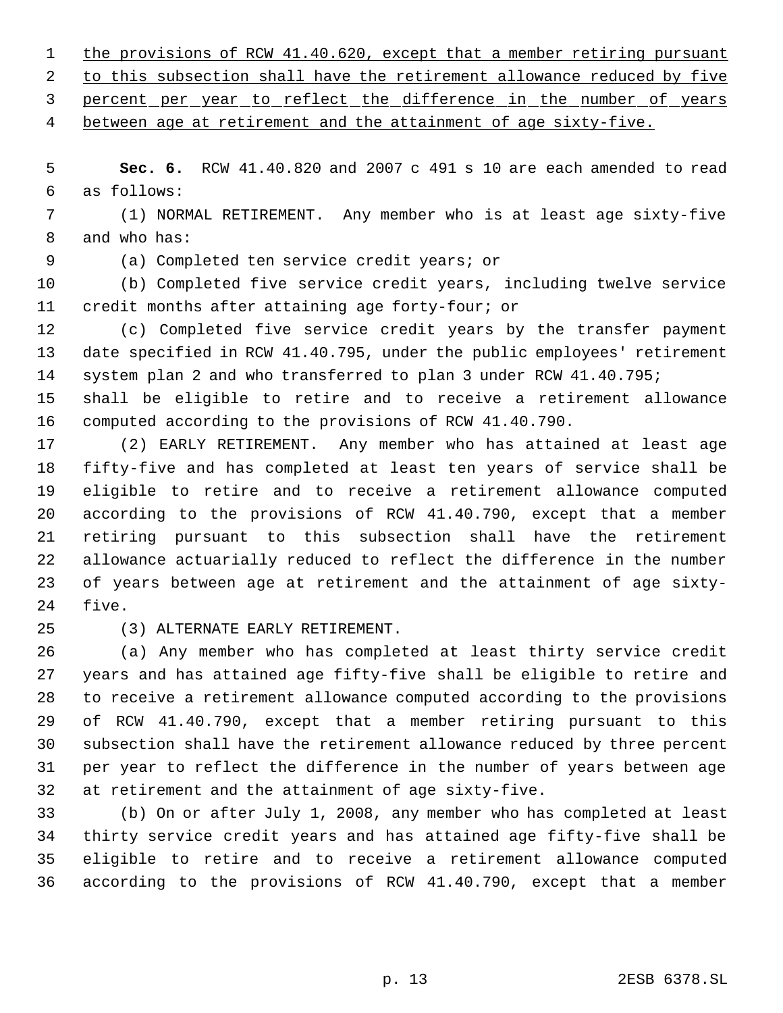1 the provisions of RCW 41.40.620, except that a member retiring pursuant 2 to this subsection shall have the retirement allowance reduced by five 3 percent per year to reflect the difference in the number of years

between age at retirement and the attainment of age sixty-five.

 **Sec. 6.** RCW 41.40.820 and 2007 c 491 s 10 are each amended to read as follows:

 (1) NORMAL RETIREMENT. Any member who is at least age sixty-five and who has:

(a) Completed ten service credit years; or

 (b) Completed five service credit years, including twelve service credit months after attaining age forty-four; or

 (c) Completed five service credit years by the transfer payment date specified in RCW 41.40.795, under the public employees' retirement 14 system plan 2 and who transferred to plan 3 under RCW 41.40.795;

 shall be eligible to retire and to receive a retirement allowance computed according to the provisions of RCW 41.40.790.

 (2) EARLY RETIREMENT. Any member who has attained at least age fifty-five and has completed at least ten years of service shall be eligible to retire and to receive a retirement allowance computed according to the provisions of RCW 41.40.790, except that a member retiring pursuant to this subsection shall have the retirement allowance actuarially reduced to reflect the difference in the number of years between age at retirement and the attainment of age sixty-five.

(3) ALTERNATE EARLY RETIREMENT.

 (a) Any member who has completed at least thirty service credit years and has attained age fifty-five shall be eligible to retire and to receive a retirement allowance computed according to the provisions of RCW 41.40.790, except that a member retiring pursuant to this subsection shall have the retirement allowance reduced by three percent per year to reflect the difference in the number of years between age at retirement and the attainment of age sixty-five.

 (b) On or after July 1, 2008, any member who has completed at least thirty service credit years and has attained age fifty-five shall be eligible to retire and to receive a retirement allowance computed according to the provisions of RCW 41.40.790, except that a member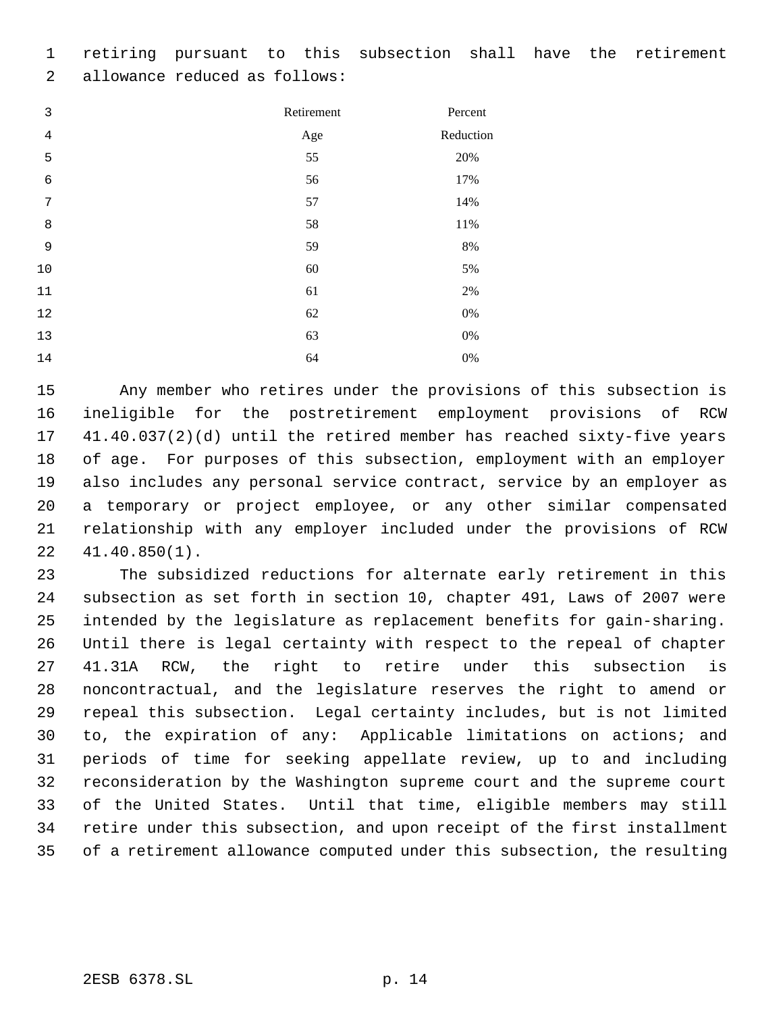retiring pursuant to this subsection shall have the retirement

allowance reduced as follows:

| 3          | Retirement | Percent   |
|------------|------------|-----------|
| $\bf 4$    | Age        | Reduction |
| 5          | 55         | 20%       |
| $\epsilon$ | 56         | 17%       |
| 7          | 57         | 14%       |
| 8          | 58         | 11%       |
| 9          | 59         | $8\%$     |
| $10$       | 60         | 5%        |
| $11\,$     | 61         | $2\%$     |
| 12         | 62         | $0\%$     |
| 13         | 63         | $0\%$     |
| 14         | 64         | $0\%$     |

 Any member who retires under the provisions of this subsection is ineligible for the postretirement employment provisions of RCW 41.40.037(2)(d) until the retired member has reached sixty-five years of age. For purposes of this subsection, employment with an employer also includes any personal service contract, service by an employer as a temporary or project employee, or any other similar compensated relationship with any employer included under the provisions of RCW 41.40.850(1).

 The subsidized reductions for alternate early retirement in this subsection as set forth in section 10, chapter 491, Laws of 2007 were intended by the legislature as replacement benefits for gain-sharing. Until there is legal certainty with respect to the repeal of chapter 41.31A RCW, the right to retire under this subsection is noncontractual, and the legislature reserves the right to amend or repeal this subsection. Legal certainty includes, but is not limited to, the expiration of any: Applicable limitations on actions; and periods of time for seeking appellate review, up to and including reconsideration by the Washington supreme court and the supreme court of the United States. Until that time, eligible members may still retire under this subsection, and upon receipt of the first installment of a retirement allowance computed under this subsection, the resulting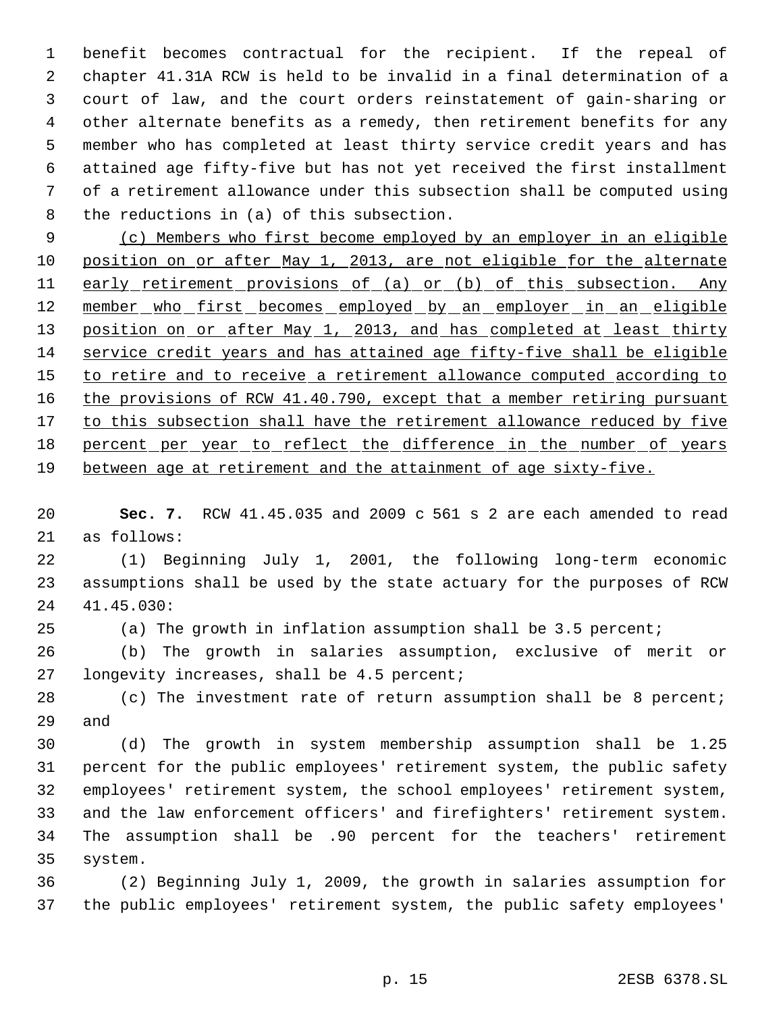benefit becomes contractual for the recipient. If the repeal of chapter 41.31A RCW is held to be invalid in a final determination of a court of law, and the court orders reinstatement of gain-sharing or other alternate benefits as a remedy, then retirement benefits for any member who has completed at least thirty service credit years and has attained age fifty-five but has not yet received the first installment of a retirement allowance under this subsection shall be computed using the reductions in (a) of this subsection.

 (c) Members who first become employed by an employer in an eligible 10 position on or after May 1, 2013, are not eligible for the alternate 11 early retirement provisions of (a) or (b) of this subsection. Any 12 member who first becomes employed by an employer in an eligible 13 position on or after May 1, 2013, and has completed at least thirty service credit years and has attained age fifty-five shall be eligible 15 to retire and to receive a retirement allowance computed according to 16 the provisions of RCW 41.40.790, except that a member retiring pursuant 17 to this subsection shall have the retirement allowance reduced by five percent per year to reflect the difference in the number of years between age at retirement and the attainment of age sixty-five.

 **Sec. 7.** RCW 41.45.035 and 2009 c 561 s 2 are each amended to read as follows:

 (1) Beginning July 1, 2001, the following long-term economic assumptions shall be used by the state actuary for the purposes of RCW 41.45.030:

(a) The growth in inflation assumption shall be 3.5 percent;

 (b) The growth in salaries assumption, exclusive of merit or longevity increases, shall be 4.5 percent;

 (c) The investment rate of return assumption shall be 8 percent; and

 (d) The growth in system membership assumption shall be 1.25 percent for the public employees' retirement system, the public safety employees' retirement system, the school employees' retirement system, and the law enforcement officers' and firefighters' retirement system. The assumption shall be .90 percent for the teachers' retirement system.

 (2) Beginning July 1, 2009, the growth in salaries assumption for the public employees' retirement system, the public safety employees'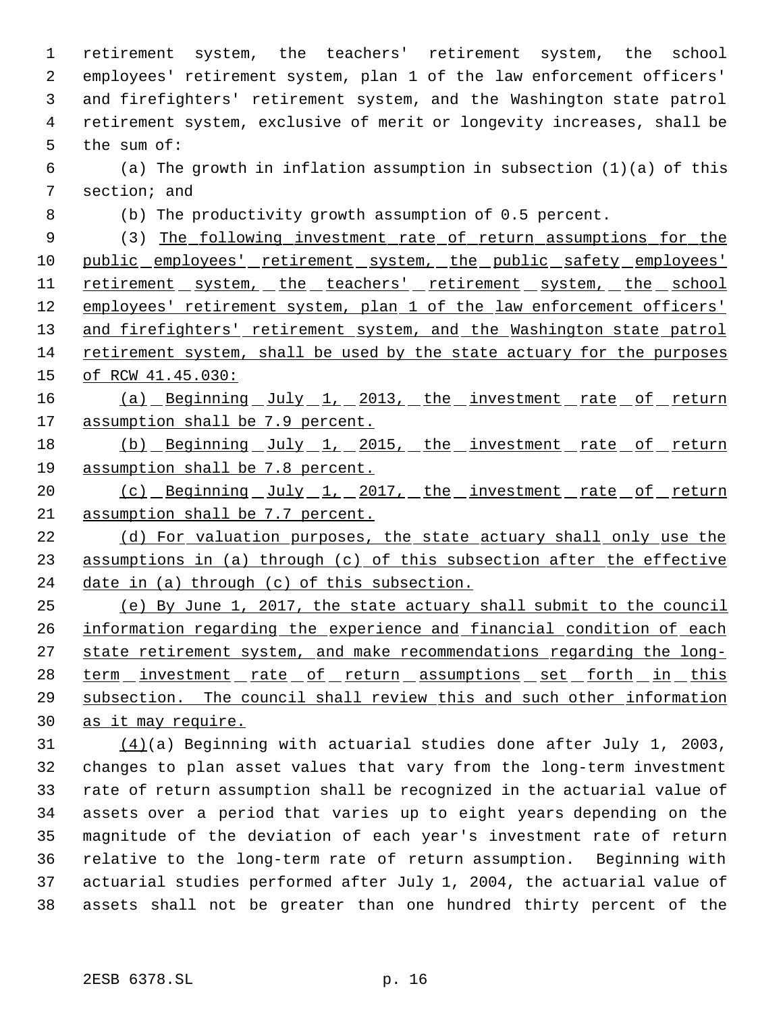retirement system, the teachers' retirement system, the school employees' retirement system, plan 1 of the law enforcement officers' and firefighters' retirement system, and the Washington state patrol retirement system, exclusive of merit or longevity increases, shall be the sum of:

 (a) The growth in inflation assumption in subsection (1)(a) of this section; and

(b) The productivity growth assumption of 0.5 percent.

9 (3) The following investment rate of return assumptions for the 10 public employees' retirement system, the public safety employees' 11 retirement system, the teachers' retirement system, the school 12 employees' retirement system, plan 1 of the law enforcement officers' 13 and firefighters' retirement system, and the Washington state patrol retirement system, shall be used by the state actuary for the purposes of RCW 41.45.030:

16 (a) Beginning July 1, 2013, the investment rate of return 17 assumption shall be 7.9 percent.

18 (b) Beginning July 1, 2015, the investment rate of return assumption shall be 7.8 percent.

20 (c) Beginning July 1, 2017, the investment rate of return assumption shall be 7.7 percent.

22 (d) For valuation purposes, the state actuary shall only use the assumptions in (a) through (c) of this subsection after the effective 24 date in (a) through (c) of this subsection.

 (e) By June 1, 2017, the state actuary shall submit to the council information regarding the experience and financial condition of each state retirement system, and make recommendations regarding the long-28 term investment rate of return assumptions set forth in this subsection. The council shall review this and such other information as it may require.

 (4)(a) Beginning with actuarial studies done after July 1, 2003, changes to plan asset values that vary from the long-term investment rate of return assumption shall be recognized in the actuarial value of assets over a period that varies up to eight years depending on the magnitude of the deviation of each year's investment rate of return relative to the long-term rate of return assumption. Beginning with actuarial studies performed after July 1, 2004, the actuarial value of assets shall not be greater than one hundred thirty percent of the